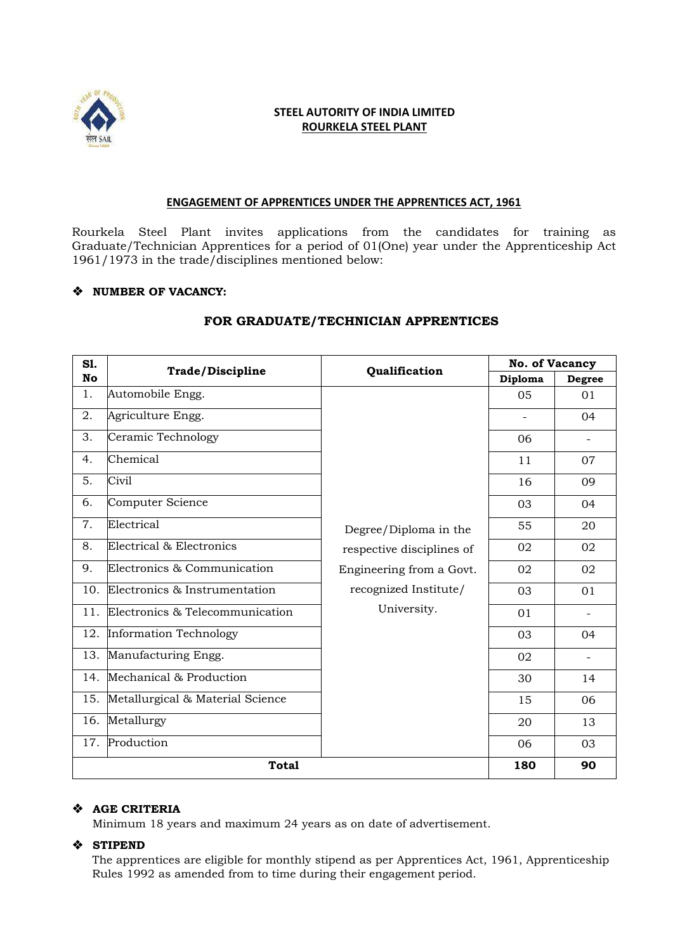

# **STEEL AUTORITY OF INDIA LIMITED ROURKELA STEEL PLANT**

#### **ENGAGEMENT OF APPRENTICES UNDER THE APPRENTICES ACT, 1961**

Rourkela Steel Plant invites applications from the candidates for training as Graduate/Technician Apprentices for a period of 01(One) year under the Apprenticeship Act 1961/1973 in the trade/disciplines mentioned below:

## ❖ **NUMBER OF VACANCY:**

| S1.<br><b>No</b> | <b>Trade/Discipline</b>          | Qualification             | <b>No. of Vacancy</b> |                          |
|------------------|----------------------------------|---------------------------|-----------------------|--------------------------|
|                  |                                  |                           | Diploma               | <b>Degree</b>            |
| 1.               | Automobile Engg.                 |                           | 05                    | 01                       |
| 2.               | Agriculture Engg.                |                           |                       | 04                       |
| 3.               | Ceramic Technology               |                           | 06                    | $\overline{a}$           |
| 4.               | Chemical                         |                           | 11                    | 07                       |
| 5.               | Civil                            |                           | 16                    | 09                       |
| 6.               | Computer Science                 |                           | 03                    | 04                       |
| 7.               | Electrical                       | Degree/Diploma in the     | 55                    | 20                       |
| 8.               | Electrical & Electronics         | respective disciplines of | 02                    | 02                       |
| 9.               | Electronics & Communication      | Engineering from a Govt.  | 02                    | 02                       |
| 10.              | Electronics & Instrumentation    | recognized Institute/     | 03                    | 01                       |
| 11.              | Electronics & Telecommunication  | University.               | 01                    | $\overline{\phantom{0}}$ |
| 12.              | <b>Information Technology</b>    |                           | 03                    | 04                       |
| 13.              | Manufacturing Engg.              |                           | 02                    |                          |
| 14.              | Mechanical & Production          |                           | 30                    | 14                       |
| 15.              | Metallurgical & Material Science |                           | 15                    | 06                       |
| 16.              | Metallurgy                       |                           | 20                    | 13                       |
| 17.              | Production                       |                           | 06                    | 03                       |
| <b>Total</b>     |                                  |                           | 180                   | 90                       |

### **FOR GRADUATE/TECHNICIAN APPRENTICES**

### ❖ **AGE CRITERIA**

Minimum 18 years and maximum 24 years as on date of advertisement.

### ❖ **STIPEND**

The apprentices are eligible for monthly stipend as per Apprentices Act, 1961, Apprenticeship Rules 1992 as amended from to time during their engagement period.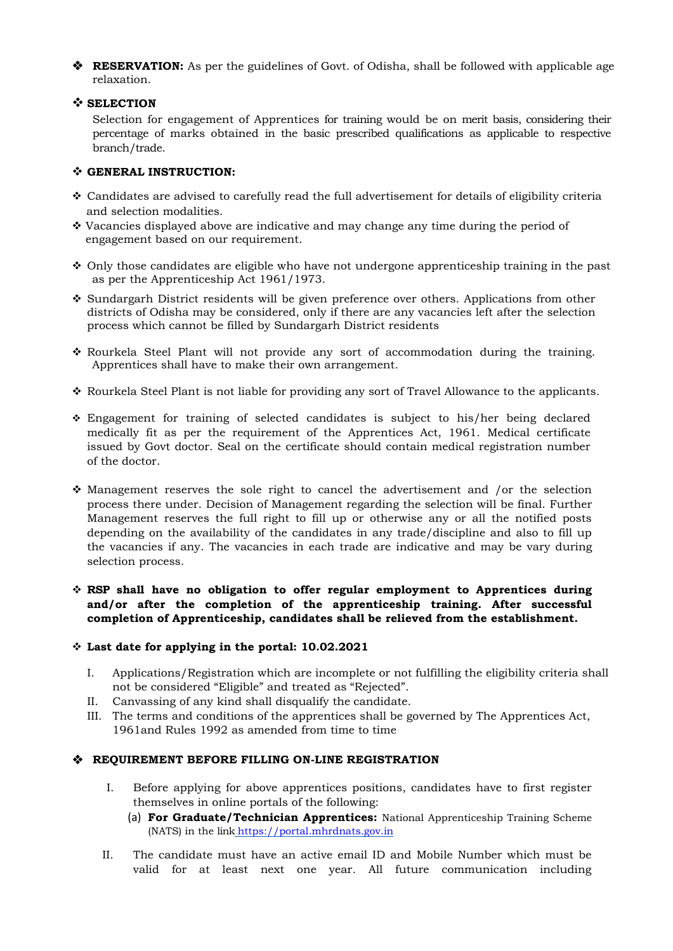❖ **RESERVATION:** As per the guidelines of Govt. of Odisha, shall be followed with applicable age relaxation.

#### ❖ **SELECTION**

Selection for engagement of Apprentices for training would be on merit basis, considering their percentage of marks obtained in the basic prescribed qualifications as applicable to respective branch/trade.

### ❖ **GENERAL INSTRUCTION:**

- ❖ Candidates are advised to carefully read the full advertisement for details of eligibility criteria and selection modalities.
- ❖ Vacancies displayed above are indicative and may change any time during the period of engagement based on our requirement.
- ❖ Only those candidates are eligible who have not undergone apprenticeship training in the past as per the Apprenticeship Act 1961/1973.
- ❖ Sundargarh District residents will be given preference over others. Applications from other districts of Odisha may be considered, only if there are any vacancies left after the selection process which cannot be filled by Sundargarh District residents
- ❖ Rourkela Steel Plant will not provide any sort of accommodation during the training. Apprentices shall have to make their own arrangement.
- ❖ Rourkela Steel Plant is not liable for providing any sort of Travel Allowance to the applicants.
- ❖ Engagement for training of selected candidates is subject to his/her being declared medically fit as per the requirement of the Apprentices Act, 1961. Medical certificate issued by Govt doctor. Seal on the certificate should contain medical registration number of the doctor.
- ❖ Management reserves the sole right to cancel the advertisement and /or the selection process there under. Decision of Management regarding the selection will be final. Further Management reserves the full right to fill up or otherwise any or all the notified posts depending on the availability of the candidates in any trade/discipline and also to fill up the vacancies if any. The vacancies in each trade are indicative and may be vary during selection process.

## ❖ **RSP shall have no obligation to offer regular employment to Apprentices during and/or after the completion of the apprenticeship training. After successful completion of Apprenticeship, candidates shall be relieved from the establishment.**

### ❖ **Last date for applying in the portal: 10.02.2021**

- I. Applications/Registration which are incomplete or not fulfilling the eligibility criteria shall not be considered "Eligible" and treated as "Rejected".
- II. Canvassing of any kind shall disqualify the candidate.
- III. The terms and conditions of the apprentices shall be governed by The Apprentices Act, 1961and Rules 1992 as amended from time to time

### ❖ **REQUIREMENT BEFORE FILLING ON-LINE REGISTRATION**

- I. Before applying for above apprentices positions, candidates have to first register themselves in online portals of the following:
	- (a) **For Graduate/Technician Apprentices:** National Apprenticeship Training Scheme (NATS) in the link [https://portal.mhrdnats.gov.in](https://portal.mhrdnats.gov.in/)
- II. The candidate must have an active email ID and Mobile Number which must be valid for at least next one year. All future communication including